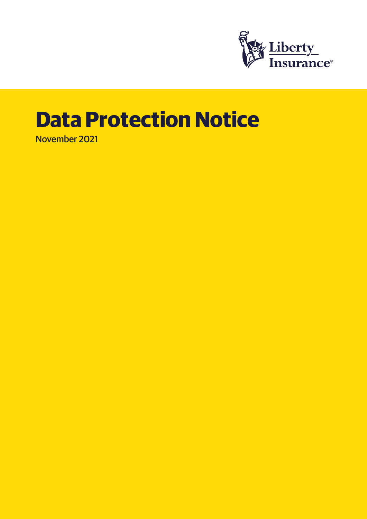

# **Data Protection Notice**

November 2021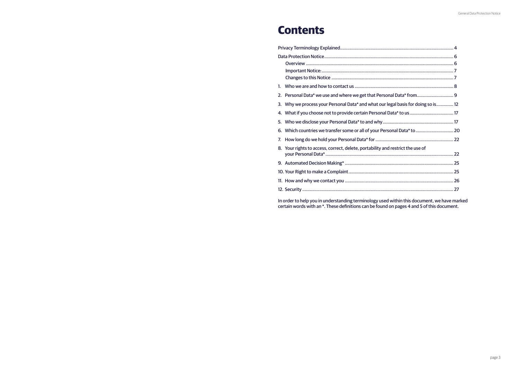| $1_{-}$                                                                              |  |
|--------------------------------------------------------------------------------------|--|
| 2.                                                                                   |  |
| Why we process your Personal Data* and what our legal basis for doing so is 12<br>3. |  |
| 4. What if you choose not to provide certain Personal Data* to us 17                 |  |
|                                                                                      |  |
| Which countries we transfer some or all of your Personal Data* to  20<br>6.          |  |
| 7.                                                                                   |  |
| Your rights to access, correct, delete, portability and restrict the use of<br>8.    |  |
|                                                                                      |  |
|                                                                                      |  |
|                                                                                      |  |
|                                                                                      |  |
|                                                                                      |  |
|                                                                                      |  |

# **Contents**

In order to help you in understanding terminology used within this document, we have marked certain words with an \*. These definitions can be found on pages 4 and 5 of this document.

| Il Data* from9              |  |
|-----------------------------|--|
| al basis for doing so is 12 |  |
|                             |  |
|                             |  |
| nal Data* to  20            |  |
|                             |  |
| estrict the use of          |  |
|                             |  |
|                             |  |
|                             |  |
|                             |  |
|                             |  |
|                             |  |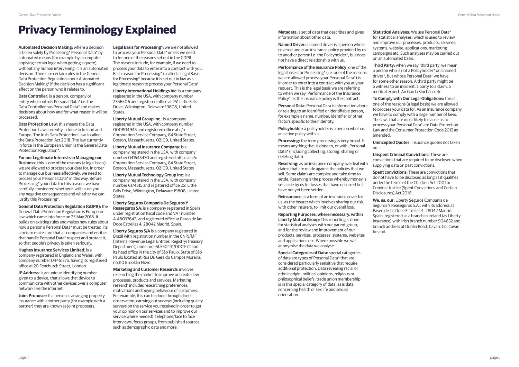**Automated Decision Making:** where a decision is taken solely by Processing\* Personal Data\* by automated means (for example by a computer applying certain logic when getting a quote) without any human intervening, it is an automated decision. There are certain rules in the General Data Protection Regulation about Automated Decision Making\* if the decision has a significant effect on the person who it relates to.

**Data Controller:** is a person, company or entity who controls Personal Data\* i.e. the Data Controller has Personal Data\* and makes decisions about how and for what reason it will be processed.

**Data Protection Law:** this means the Data Protection Law currently in force in Ireland and Europe. The Irish Data Protection Law is called the Data Protection Act 2018. The law currently in force in the European Union is the General Data Protection Regulation\*.

**For our Legitimate Interests in Managing our Business:** this is one of the reasons (a legal basis) we are allowed to process your data for. In order to manage our business effectively, we need to process your Personal Data\* in this way. Before Processing\* your data for this reason, we have carefully considered whether it will cause you any negative consequences and whether we can justify this Processing\*.

**Liberty International Holdings Inc:** is a company registered in the USA, with company number 2356506 and registered office at 251 Little Falls Drive, Wilmington, Delaware 19808, United **States** 

**General Data Protection Regulation (GDPR):** the General Data Protection Regulation is European law which came into force on 25 May 2018. It builds on existing rules and makes new rules about how a person's Personal Data\* must be treated. Its aim is to make sure that all companies and entities that handle Personal Data\* respect and protect it, so that people's privacy is taken seriously.

**Hughes Insurance Services Limited:** is a company registered in England and Wales, with company number 04451375, having its registered office at 20 Fenchurch Street, London.

**IP Address:** is an unique identifying number given to a device, that allows that device to communicate with other devices over a computer network like the internet.

**Joint Proposer:** If a person is arranging property insurance with another party (for example with a partner) they are known as joint proposers.

**Legal Basis for Processing\*:** we are not allowed to process your Personal Data\* unless we need to for one of the reasons set out in the GDPR. The reasons include, for example, if we need to process your data to enter into a contract with you. Each reason for Processing\* is called a Legal Basis for Processing\* because it is set out in law as a legitimate reason to process your Personal Data\*.

**Liberty Mutual Group Inc.:** is a company registered in the USA, with company number 000804945 and registered office at c/o Corporation Service Company, 84 State Street, Boston, Massachusetts, 02109, United States.

> **Reinsurance:** is a form of an insurance cover for us, as the insurer which involves sharing our risk with other insurers, to limit our overall loss.

**Liberty Mutual Insurance Company:** is a company registered in the USA, with company number 041543470 and registered office at c/o Corporation Service Company, 84 State Street, Boston, Massachusetts, 02109, United States

**Liberty Mutual Technology Group Inc:** is a company registered in the USA, with company number 6174315 and registered office 251 Little Falls Drive, Wilmington, Delaware 19808, United States.

**Liberty Seguros Compania De Seguros Y Reaseguros SA:** is a company registered in Spain under registration fiscal code and VAT number A-48037642, and registered office at Paseo de las Doce Estrellas 4, 28042 Madrid, Spain.

**Liberty Seguros S/A** is a company registered in Brazil with registration number in the CNPJ/MF [Internal Revenue Legal Entities' Registry/Treasury Department] under no. 61.550.141/0001-72 and its head office in the city of São Paulo, State of São Paulo located at Rua Dr. Geraldo Campos Moreira, no.110 Brooklin Novo.

**Marketing and Customer Research:** involves researching the market to improve or create new processes, products and services. Marketing research includes researching preferences, motivations and buying behaviour of customers. For example, this can be done through direct observation, carrying out surveys (including quality surveys on the service you received in order to get your opinion on our services and to improve our service where needed), telephone/face to face interviews, focus groups, from published sources such as demographic data and more.

information about other data.

**Named Driver:** a named driver is a person who is covered under an insurance policy provided by us to another person i.e. the Policyholder\*, but does not have a direct relationship with us.

**Performance of the Insurance Policy**: one of the legal bases for Processing\* (i.e. one of the reasons we are allowed process your Personal Data\*) is in order to enter into a contract with you at your request. This is the legal basis we are referring to when we say 'Performance of the Insurance Policy' i.e. the insurance policy is the contract.

**Personal Data:** Personal Data is information about or relating to an identified or identifiable person, for example a name, number, identifier or other factors specific to their identity.

**Policyholder:** a policyholder is a person who has an active policy with us.

**Processing:** the term processing is very broad. It means anything that is done to, or with, Personal Data\* (including collecting, storing, sharing or deleting data).

**Reserving:** as an insurance company, we deal with claims that are made against the policies that we sell. Some claims are complex and take time to settle. Reserving is the process whereby money is set aside by us for losses that have occurred but have not yet been settled.

**Reporting Purposes, where necessary, within Liberty Mutual Group:** This reporting is done for statistical analyses with our parent group, and for the review and improvement of our products, services, processes, systems, websites and applications etc. Where possible we will anonymise the data we analyse.

**Special Categories of Data:** special categories of data are types of Personal Data\* that are considered particularly sensitive that require additional protection. Data revealing racial or ethnic origin, political opinions, religious or philosophical beliefs, trade union membership is in this special category of data, as is data concerning health or sex life and sexual orientation.

**Statistical Analyses:** We use Personal Data\* for statistical analyses, which is used to review and improve our processes, products, services, systems, website, applications, marketing campaigns etc. Such analyses may be carried out on an automated basis.

**Third Party:** when we say 'third party' we mean a person who is not a Policyholder\* or a named driver\*, but whose Personal Data\* we have for some other reason. A third party might be a witness to an incident, a party to a claim, a medical expert, An Garda Síochána etc.

**To Comply with Our Legal Obligations:** this is one of the reasons (a legal basis) we are allowed to process your data for. As an insurance company we have to comply with a large number of laws. The laws that are most likely to cause us to process your Personal Data\* are Data Protection Law and the Consumer Protection Code 2012 as

amended.

**Unincepted Quotes:** Insurance quotes not taken

out.

**Unspent Criminal Convictions:** These are convictions that are required to be disclosed when supplying data on past convictions.

**Spent convictions:** These are convictions that do not have to be disclosed as long as it qualifies under the terms of the Children Act 2001 or Criminal Justice (Spent Convictions and Certain Disclosures) Act 2016.

**We, us, our:** Liberty Seguros Compania de Seguros Y Reaseguros S.A., with its address at Paseo de las Doce Estrellas 4, 28042 Madrid, Spain, registered as a branch in Ireland (as Liberty Insurance) with Irish branch number 904632 and branch address at Dublin Road, Cavan. Co. Cavan, Ireland.

# **Privacy Terminology Explained Metadata:** a set of data that describes and gives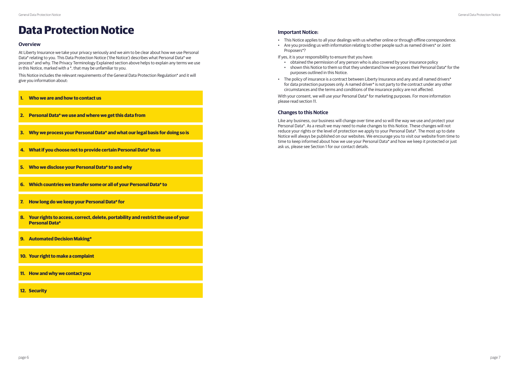#### **Overview**

At Liberty Insurance we take your privacy seriously and we aim to be clear about how we use Personal Data\* relating to you. This Data Protection Notice ('the Notice') describes what Personal Data\* we process\* and why. The Privacy Terminology Explained section above helps to explain any terms we use in this Notice, marked with a \*, that may be unfamiliar to you.

This Notice includes the relevant requirements of the General Data Protection Regulation\* and it will give you information about:

# **Data Protection Notice**

- **1. Who we are and how to contact us**
- **2. Personal Data\* we use and where we get this data from**
- **3. Why we process your Personal Data\* and what our legal basis for doing so is**
- **4. What if you choose not to provide certain Personal Data\* to us**
- **5. Who we disclose your Personal Data\* to and why**
- **6. Which countries we transfer some or all of your Personal Data\* to**
- **7. How long do we keep your Personal Data\* for**
- **8. Your rights to access, correct, delete, portability and restrict the use of your Personal Data\***
- **9. Automated Decision Making\***
- **10. Your right to make a complaint**
- **11. How and why we contact you**
- **12. Security**

#### **Important Notice:**

- This Notice applies to all your dealings with us whether online or through offline correspondence.
- Are you providing us with information relating to other people such as named drivers\* or Joint Proposers\*?

If yes, it is your responsibility to ensure that you have:

- obtained the permission of any person who is also covered by your insurance policy
- shown this Notice to them so that they understand how we process their Personal Data\* for the purposes outlined in this Notice.
- The policy of insurance is a contract between Liberty Insurance and any and all named drivers\* for data protection purposes only. A named driver\* is not party to the contract under any other circumstances and the terms and conditions of the insurance policy are not affected.

With your consent, we will use your Personal Data\* for marketing purposes. For more information please read section 11.

#### **Changes to this Notice**

Like any business, our business will change over time and so will the way we use and protect your Personal Data\*. As a result we may need to make changes to this Notice. These changes will not reduce your rights or the level of protection we apply to your Personal Data\*. The most up to date Notice will always be published on our websites. We encourage you to visit our website from time to time to keep informed about how we use your Personal Data\* and how we keep it protected or just ask us, please see Section 1 for our contact details.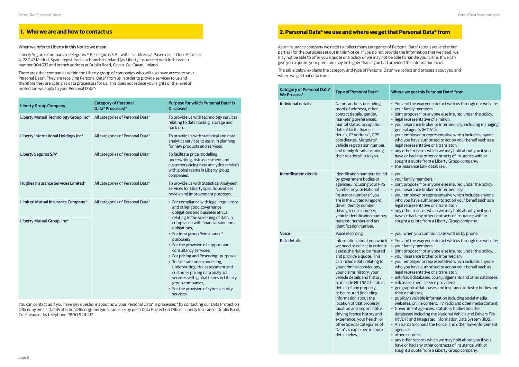As an insurance company we need to collect many categories of Personal Data\* (about you and other parties) for the purposes set out in this Notice. If you do not provide the information that we need, we may not be able to offer you a quote or a policy or we may not be able to handle your claim. If we can give you a quote, your premium may be higher than if you had provided the information to us.

The table below explains the category and type of Personal Data\* we collect and process about you and where we get that data from.

#### **2. Personal Data\* we use and where we get that Personal Data\* from**

#### When we refer to Liberty in this Notice we mean:

Liberty Seguros Compania de Seguros Y Reaseguros S.A., with its address at Paseo de las Doce Estrellas 4, 28042 Madrid, Spain, registered as a branch in Ireland (as Liberty Insurance) with Irish branch number 904632 and branch address at Dublin Road, Cavan. Co. Cavan, Ireland.

There are other companies within the Liberty group of companies who will also have access to your Personal Data\*. They are receiving Personal Data\* from us in order to provide services to us and therefore they are acting as data processors for us. This does not reduce your rights or the level of protection we apply to your Personal Data\*:

| <b>Liberty Group Company</b>         | <b>Category of Personal</b><br>Data* Processed* | <b>Purpose for which Personal Data* is</b><br><b>Disclosed</b>                                                                                                                                                                                                                                                                                                                                                                                                                     |
|--------------------------------------|-------------------------------------------------|------------------------------------------------------------------------------------------------------------------------------------------------------------------------------------------------------------------------------------------------------------------------------------------------------------------------------------------------------------------------------------------------------------------------------------------------------------------------------------|
| Liberty Mutual Technology Group Inc* | All categories of Personal Data*                | To provide us with technology services<br>relating to data hosting, storage and<br>back-up.                                                                                                                                                                                                                                                                                                                                                                                        |
| Liberty International Holdings Inc*  | All categories of Personal Data*                | To provide us with statistical and data<br>analytics services to assist in planning<br>for new products and services.                                                                                                                                                                                                                                                                                                                                                              |
| Liberty Seguros S/A*                 | All categories of Personal Data*                | To facilitate price modelling,<br>underwriting, risk assessment and<br>customer pricing data analytics services<br>with global teams in Liberty group<br>companies.                                                                                                                                                                                                                                                                                                                |
| Hughes Insurance Services Limited*   | All categories of Personal Data*                | To provide us with Statistical Analyses*<br>services for Liberty specific business<br>review and improvement purposes.                                                                                                                                                                                                                                                                                                                                                             |
| Limited Mutual Insurance Company*    | All categories of Personal Data*                | • For compliance with legal, regulatory<br>and other good governance<br>obligations and business ethics                                                                                                                                                                                                                                                                                                                                                                            |
| Liberty Mutual Group, Inc*           |                                                 | relating to the screening of data in<br>compliance with financial sanctions<br>obligations;<br>• For intra group Reinsurance*<br>purposes;<br>• For the provision of support and<br>consultancy services;<br>• For pricing and Reserving* purposes;<br>• To facilitate price modelling,<br>underwriting, risk assessment and<br>customer pricing data analytics<br>services with global teams in Liberty<br>group companies;<br>• For the provision of cyber security<br>services. |

# **1. Who we are and how to contact us**

You can contact us if you have any questions about how your Personal Data\* is processed\* by contacting our Data Protection Officer by email: DataProtectionOfficer@libertyinsurance.ie; by post: Data Protection Officer, Liberty Insurance, Dublin Road, Co. Cavan; or by telephone: 1800 944 412.

#### **We Process\* Type of Personal Data\* Where we get this Personal Data\* from**

| <b>Category of Personal Data*</b><br><b>We Process*</b> | <b>Type of Personal Data*</b>                                                                                                                                                                                                                                                                                                                                                                                                                                                                                                                                                 | W |
|---------------------------------------------------------|-------------------------------------------------------------------------------------------------------------------------------------------------------------------------------------------------------------------------------------------------------------------------------------------------------------------------------------------------------------------------------------------------------------------------------------------------------------------------------------------------------------------------------------------------------------------------------|---|
| <b>Individual details</b>                               | Name, address (including<br>proof of address), other<br>contact details, gender,<br>marketing preferences,<br>marital status, occupation,<br>date of birth, financial<br>details, IP Address*, GPS<br>coordinates, Metadata*,<br>vehicle registration number,<br>and family details including<br>their relationship to you.                                                                                                                                                                                                                                                   |   |
| <b>Identification details</b>                           | Identification numbers issued<br>by government bodies or<br>agencies, including your PPS<br>Number or your National<br>Insurance number (if you<br>are in the United Kingdom),<br>driver identity number,<br>driving licence number,<br>vehicle identification number,<br>passport number and tax<br>identification number.                                                                                                                                                                                                                                                   |   |
| <b>Voice</b>                                            | Voice recording                                                                                                                                                                                                                                                                                                                                                                                                                                                                                                                                                               |   |
| <b>Risk details</b>                                     | Information about you which<br>we need to collect in order to<br>assess the risk to be insured<br>and provide a quote. This<br>can include data relating to<br>your criminal convictions,<br>your claims history, your<br>vehicle details and history<br>to include NCT/MOT status,<br>details of any property<br>to be insured (including<br>information about the<br>location of that property),<br>taxation and import status,<br>driving licence history and<br>experience, your health, or<br>other Special Categories of<br>Data* as explained in more<br>detail below. |   |

- You and the way you interact with us through our website;
- your family members;
- joint proposer\* or anyone else insured under the policy;
- legal representative of a minor;
- your insurance broker or intermediary, including managing general agents (MGA's);
- your employer or representative which includes anyone who you have authorised to act on your behalf such as a legal representative or a translator;
- any other records which we may hold about you if you have or had any other contracts of insurance with or sought a quote from a Liberty Group company;
- the Insurance Link database<sup>o</sup>.
- you;
- your family members;
- joint proposer\* or anyone else insured under the policy;
- your insurance broker or intermediary;
- your employer or representative which includes anyone who you have authorised to act on your behalf such as a legal representative or a translator;
- any other records which we may hold about you if you have or had any other contracts of insurance with or sought a quote from a Liberty Group company.
- you, when you communicate with us by phone.
- You and the way you interact with us through our website; • your family members;
- joint proposer\* or anyone else insured under the policy;
- your insurance broker or intermediary
- your employer or representative which includes anyone who you have authorised to act on your behalf such as legal representative or a translator;
- anti-fraud databases, court judgements and other databases;
- risk assessment service providers;
- geographical databases and insurance industry bodies and their databases;
- publicly available information including social media websites, online content, TV, radio and other media content;
- Government agencies, statutory bodies and their databases including the National Vehicle and Drivers File (NVDF) and Integrated Information Data System (IIDS);
- An Garda Síochána the Police, and other law-enforcement agencies;
- other insurers;
- any other records which we may hold about you if you have or had any other contracts of insurance with or sought a quote from a Liberty Group company.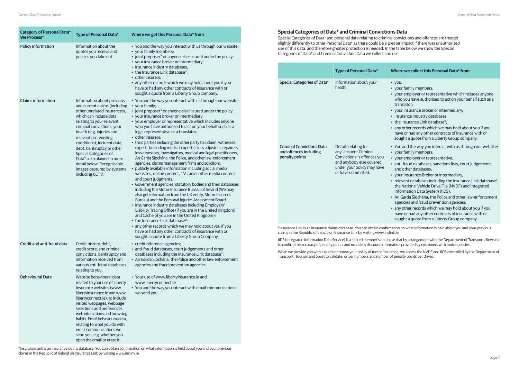### **Special Categories of Data\* and Criminal Convictions Data**

Special Categories of Data\* and personal data relating to criminal convictions and offences are treated slightly differently to other Personal Data\* as there could be a greater impact if there was unauthorised use of this data, and therefore greater protection is needed. In the table below we show the Special Categories of Data\* and Criminal Conviction Data we collect and use:

#### **Type of Personal Data\* Where we collect this Personal Data\* from**

|                                                                              | <b>Type of Personal Data*</b>                                                                                                                              | Wł                                                                                                |
|------------------------------------------------------------------------------|------------------------------------------------------------------------------------------------------------------------------------------------------------|---------------------------------------------------------------------------------------------------|
| <b>Special Categories of Data*</b>                                           | Information about your<br>health                                                                                                                           | • )<br>- )<br>$\rightarrow$<br>V<br>t<br>• )<br>- ĉ<br>S                                          |
| <b>Criminal Convictions Data</b><br>and offences including<br>penalty points | Details relating to<br>any Unspent Criminal<br>Convictions */ offences you<br>and anybody else covered<br>under your policy may have<br>or have committed. | $\rightarrow$<br>$\rightarrow$<br>$\overline{c}$<br>ā<br>ر •<br>- r<br>t<br>I<br>ā<br>ē<br>ŀ<br>S |

- you;
- your family members;
- your employer or representative which includes anyone who you have authorised to act on your behalf such as a translator;
- your insurance broker or intermediary;
- nsurance industry databases;
- the Insurance Link database<sup>o</sup>;
- any other records which we may hold about you if you have or had any other contracts of insurance with or sought a quote from a Liberty Group company.
- You and the way you interact with us through our website;
- your family members;
- your employer or representative;
- anti-fraud databases, sanctions lists, court judgements and other databases;
- your Insurance Broker or intermediary;
- relevant databases including the Insurance Link database<sup>o</sup>, the National Vehicle Drive File (NVDF) and Integrated Information Data System (IIDS);
- An Garda Síochána, the Police and other law-enforcement agencies and fraud prevention agencies;
- any other records which we may hold about you if you have or had any other contracts of insurance with or sought a quote from a Liberty Group company

<sup>0</sup>Insurance Link is an insurance claims database. You can obtain confirmation on what information is held about you and your previous claims in the Republic of Ireland on Insurance Link by visiting www.inslink.ie

page 10 page 11 <sup>0</sup>Insurance Link is an insurance claims database. You can obtain confirmation on what information is held about you and your previous claims in the Republic of Ireland on Insurance Link by visiting www.inslink.ie

| <b>Category of Personal Data*</b><br><b>We Process*</b> | <b>Type of Personal Data*</b>                                                                                                                                                                                                                                                                                                                                                                                                            | Where we get this Personal Data* from                                                                                                                                                                                                                                                                                                                                                                                                                                                                                                                                                                                                                                                                                                                                                                                                                                                                                                                                                                                                                                                                                                                                                                                                                                                                                                                                                                                                                                                       |
|---------------------------------------------------------|------------------------------------------------------------------------------------------------------------------------------------------------------------------------------------------------------------------------------------------------------------------------------------------------------------------------------------------------------------------------------------------------------------------------------------------|---------------------------------------------------------------------------------------------------------------------------------------------------------------------------------------------------------------------------------------------------------------------------------------------------------------------------------------------------------------------------------------------------------------------------------------------------------------------------------------------------------------------------------------------------------------------------------------------------------------------------------------------------------------------------------------------------------------------------------------------------------------------------------------------------------------------------------------------------------------------------------------------------------------------------------------------------------------------------------------------------------------------------------------------------------------------------------------------------------------------------------------------------------------------------------------------------------------------------------------------------------------------------------------------------------------------------------------------------------------------------------------------------------------------------------------------------------------------------------------------|
| <b>Policy information</b>                               | Information about the<br>quotes you receive and<br>policies you take out.                                                                                                                                                                                                                                                                                                                                                                | • You and the way you interact with us through our website;<br>• your family members;<br>• joint proposer* or anyone else insured under the policy;<br>• your insurance broker or intermediary;<br>• insurance industry databases;<br>• the Insurance Link database <sup>o</sup> :<br>• other insurers;<br>• any other records which we may hold about you if you<br>have or had any other contracts of insurance with or<br>sought a quote from a Liberty Group company.                                                                                                                                                                                                                                                                                                                                                                                                                                                                                                                                                                                                                                                                                                                                                                                                                                                                                                                                                                                                                   |
| <b>Claims information</b>                               | Information about previous<br>and current claims (including<br>other unrelated insurances),<br>which can include data<br>relating to your relevant<br>criminal convictions, your<br>health (e.g. injuries and<br>relevant pre-existing<br>conditions), incident data,<br>debt, bankruptcy or other<br>Special Categories of<br>Data* as explained in more<br>detail below. Recognisable<br>images captured by systems<br>including CCTV. | • You and the way you interact with us through our website;<br>• your family;<br>• joint proposer* or anyone else insured under the policy;<br>• your insurance broker or intermediary;<br>• your employer or representative which includes anyone<br>who you have authorised to act on your behalf such as a<br>legal representative or a translator;<br>• other insurers;<br>• third parties including the other party to a claim, witnesses,<br>experts (including medical experts), loss adjustors, repairers,<br>loss assessors, investigators, medical and legal practitioners,<br>An Garda Síochána, the Police, and other law-enforcement<br>agencies, claims management firms and solicitors;<br>• publicly available information including social media<br>websites, online content, TV, radio, other media content<br>and court judgments;<br>• Government agencies, statutory bodies and their databases<br>including the Motor Insurance Bureau of Ireland (We may<br>also get information from the UK entity, Motor Insurer's<br>Bureau) and the Personal Injuries Assessment Board;<br>· insurance industry databases including Employers'<br>Liability Tracing Office (if you are in the United Kingdom)<br>and Cache (if you are in the United Kingdom);<br>• the Insurance Link database <sup>o</sup> ;<br>• any other records which we may hold about you if you<br>have or had any other contracts of insurance with or<br>sought a quote from a Liberty Group Company. |
| Credit and anti-fraud data                              | Credit history, debt,<br>credit score, and criminal<br>convictions, bankruptcy and<br>information received from<br>various anti-fraud databases<br>relating to you.                                                                                                                                                                                                                                                                      | • credit reference agencies;<br>· anti-fraud databases, court judgements and other<br>databases including the Insurance Link database <sup>o</sup> ;<br>• An Garda Síochána, the Police and other law-enforcement<br>agencies and fraud prevention agencies.                                                                                                                                                                                                                                                                                                                                                                                                                                                                                                                                                                                                                                                                                                                                                                                                                                                                                                                                                                                                                                                                                                                                                                                                                                |
| <b>Behavioural Data</b>                                 | Website behavioural data<br>related to your use of Liberty<br>Insurance websites (www.<br>libertyinsurance.ie and www.<br>libertyconnect.ie), to include<br>visited webpages, webpage<br>selections and preferences,<br>web interactions and browsing<br>habits. Email behavioural data,<br>relating to what you do with<br>email communications we<br>send you, e.g. whether you<br>open the email or erase it.                         | • Your use of www.libertyinsurance.ie and<br>www.libertyconnect.ie<br>• You and the way you interact with email communications<br>we send you                                                                                                                                                                                                                                                                                                                                                                                                                                                                                                                                                                                                                                                                                                                                                                                                                                                                                                                                                                                                                                                                                                                                                                                                                                                                                                                                               |

IIDS (Integrated Information Data Service) is a shared member's database that by arrangement with the Department of Transport allows us to confirm the accuracy of penalty points and no claims discount information provided by customers with motor policies.

When we provide you with a quote or renew your policy of motor insurance, we access the NVDF and IIDS controlled by the Department of Transport, Tourism and Sport to validate: driver numbers and number of penalty points per driver.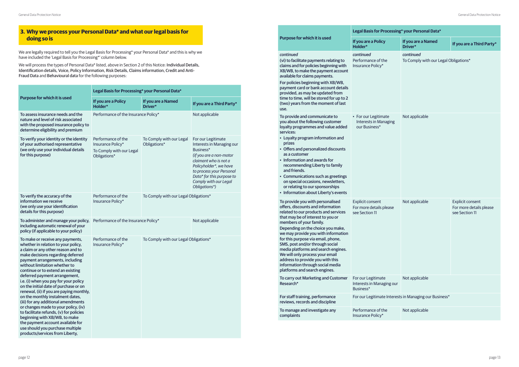We are legally required to tell you the Legal Basis for Processing\* your Personal Data\* and this is why we have included the 'Legal Basis for Processing\*' column below.

We will process the types of Personal Data\* listed, above in Section 2 of this Notice: Individual Details, Identification details, Voice, Policy Information, Risk Details, Claims information, Credit and Anti-Fraud Data and Behavioural data for the following purposes:

|                                                                                                                                                                                                                                                                                                                                                                                                                                                                                                                                                                                                                                                                                                                                       | Legal Basis for Processing* your Personal Data*                                     |                                          |                                                                                                                                                                                                                                               |
|---------------------------------------------------------------------------------------------------------------------------------------------------------------------------------------------------------------------------------------------------------------------------------------------------------------------------------------------------------------------------------------------------------------------------------------------------------------------------------------------------------------------------------------------------------------------------------------------------------------------------------------------------------------------------------------------------------------------------------------|-------------------------------------------------------------------------------------|------------------------------------------|-----------------------------------------------------------------------------------------------------------------------------------------------------------------------------------------------------------------------------------------------|
| Purpose for which it is used                                                                                                                                                                                                                                                                                                                                                                                                                                                                                                                                                                                                                                                                                                          | If you are a Policy<br>Holder*                                                      | If you are a Named<br>Driver*            | If you are a Third Party*                                                                                                                                                                                                                     |
| To assess insurance needs and the<br>nature and level of risk associated<br>with the proposed insurance policy to<br>determine eligibility and premium                                                                                                                                                                                                                                                                                                                                                                                                                                                                                                                                                                                | Performance of the Insurance Policy*                                                |                                          | Not applicable                                                                                                                                                                                                                                |
| To verify your identity or the identity<br>of your authorised representative<br>(we only use your individual details<br>for this purpose)                                                                                                                                                                                                                                                                                                                                                                                                                                                                                                                                                                                             | Performance of the<br>Insurance Policy*<br>To Comply with our Legal<br>Obligations* | To Comply with our Legal<br>Obligations* | For our Legitimate<br>Interests in Managing our<br>Business*<br>(if you are a non-motor<br>claimant who is not a<br>Policyholder*, we have<br>to process your Personal<br>Data* for this purpose to<br>Comply with our Legal<br>Obligations*) |
| To verify the accuracy of the<br>information we receive<br>(we only use your identification<br>details for this purpose)                                                                                                                                                                                                                                                                                                                                                                                                                                                                                                                                                                                                              | Performance of the<br>Insurance Policy*                                             | To Comply with our Legal Obligations*    |                                                                                                                                                                                                                                               |
| To administer and manage your policy,<br>including automatic renewal of your<br>policy (if applicable to your policy)                                                                                                                                                                                                                                                                                                                                                                                                                                                                                                                                                                                                                 | Performance of the Insurance Policy*                                                |                                          | Not applicable                                                                                                                                                                                                                                |
| To make or receive any payments,<br>whether in relation to your policy,<br>a claim or any other reason and to<br>make decisions regarding deferred<br>payment arrangements, including<br>without limitation whether to<br>continue or to extend an existing<br>deferred payment arrangement,<br>i.e. (i) when you pay for your policy<br>on the initial date of purchase or on<br>renewal, (ii) if you are paying monthly,<br>on the monthly instalment dates,<br>(iii) for any additional amendments<br>or changes made to your policy, (iv)<br>to facilitate refunds, (v) for policies<br>beginning with XB/WB, to make<br>the payment account available for<br>use should you purchase multiple<br>products/services from Liberty, | Performance of the<br>Insurance Policy*                                             | To Comply with our Legal Obligations*    |                                                                                                                                                                                                                                               |

|                                                                                                                                                                                                                                                                                                                                                                                                                                                                                                                       | <b>Legal Basis for Processin</b>                                      |
|-----------------------------------------------------------------------------------------------------------------------------------------------------------------------------------------------------------------------------------------------------------------------------------------------------------------------------------------------------------------------------------------------------------------------------------------------------------------------------------------------------------------------|-----------------------------------------------------------------------|
| Purpose for which it is used                                                                                                                                                                                                                                                                                                                                                                                                                                                                                          | If you are a Policy<br>Holder*                                        |
| continued<br>(vi) to facilitate payments relating to<br>claims and for policies beginning with<br>XB/WB, to make the payment account<br>available for claims payments.<br>For policies beginning with XB/WB,<br>payment card or bank account details<br>provided, as may be updated from<br>time to time, will be stored for up to 2<br>(two) years from the moment of last<br>use.                                                                                                                                   | continued<br>Performance of the<br>Insurance Policy*                  |
| To provide and communicate to<br>you about the following customer<br>loyalty programmes and value added<br>services:<br>• Loyalty program information and<br>prizes<br>• Offers and personalized discounts<br>as a customer<br>Information and awards for<br>recommending Liberty to family<br>and friends.<br>• Communications such as greetings<br>on special occasions, newsletters,<br>or relating to our sponsorships<br>• Information about Liberty's events                                                    | • For our Legitimate<br><b>Interests in Managing</b><br>our Business* |
| To provide you with personalised<br>offers, discounts and information<br>related to our products and services<br>that may be of interest to you or<br>members of your family.<br>Depending on the choice you make,<br>we may provide you with information<br>for this purpose via email, phone,<br>SMS, post and/or through social<br>media platforms and search engines.<br>We will only process your email<br>address to provide you with this<br>information through social media<br>platforms and search engines. | <b>Explicit consent</b><br>For more details please<br>see Section 11  |
| To carry out Marketing and Customer<br>Research*                                                                                                                                                                                                                                                                                                                                                                                                                                                                      | For our Legitimate<br>Interests in Managing our<br>Business*          |
| For staff training, performance<br>reviews, records and discipline                                                                                                                                                                                                                                                                                                                                                                                                                                                    | For our Legitimate Interes                                            |
| To manage and investigate any<br>complaints                                                                                                                                                                                                                                                                                                                                                                                                                                                                           | Performance of the<br>Insurance Policy*                               |

| Legal Basis for Processing* your Personal Data*                       |                                                        |                                                                      |  |  |
|-----------------------------------------------------------------------|--------------------------------------------------------|----------------------------------------------------------------------|--|--|
| If you are a Policy<br>Holder*                                        | If you are a Named<br>Driver*                          | If you are a Third Party*                                            |  |  |
| continued<br>Performance of the<br>Insurance Policy*                  | continued<br>To Comply with our Legal Obligations*     |                                                                      |  |  |
| • For our Legitimate<br><b>Interests in Managing</b><br>our Business* | Not applicable                                         |                                                                      |  |  |
| <b>Explicit consent</b><br>For more details please<br>see Section 11  | Not applicable                                         | <b>Explicit consent</b><br>For more details please<br>see Section 11 |  |  |
| For our Legitimate<br>Interests in Managing our<br>Business*          | Not applicable                                         |                                                                      |  |  |
|                                                                       | For our Legitimate Interests in Managing our Business* |                                                                      |  |  |
| Performance of the<br>Insurance Policy*                               | Not applicable                                         |                                                                      |  |  |

# **3. Why we process your Personal Data\* and what our legal basis for doing so is**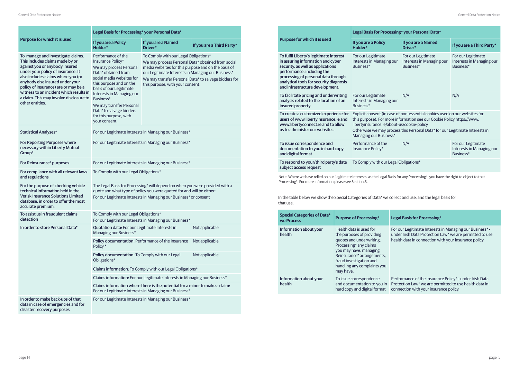|                                                                                                                                                                                                                                                                                                                                                                        | Legal Basis for Processing* your Personal Data*                                                                                                                                                                                                                                                                           |                                                                                                                                                                                                                                              |                                                       |  |
|------------------------------------------------------------------------------------------------------------------------------------------------------------------------------------------------------------------------------------------------------------------------------------------------------------------------------------------------------------------------|---------------------------------------------------------------------------------------------------------------------------------------------------------------------------------------------------------------------------------------------------------------------------------------------------------------------------|----------------------------------------------------------------------------------------------------------------------------------------------------------------------------------------------------------------------------------------------|-------------------------------------------------------|--|
| Purpose for which it is used                                                                                                                                                                                                                                                                                                                                           | If you are a Policy<br>If you are a Named<br>Holder*<br>Driver*                                                                                                                                                                                                                                                           |                                                                                                                                                                                                                                              | If you are a Third Party*                             |  |
| To manage and investigate claims.<br>This includes claims made by or<br>against you or anybody insured<br>under your policy of insurance. It<br>also includes claims where you (or<br>anybody else insured under your<br>policy of insurance) are or may be a<br>witness to an incident which results in<br>a claim. This may involve disclosure to<br>other entities. | Performance of the<br>Insurance Policy*<br>We may process Personal<br>Data* obtained from<br>social media websites for<br>this purpose and on the<br>basis of our Legitimate<br>Interests in Managing our<br>Business*<br>We may transfer Personal<br>Data* to salvage bidders<br>for this purpose, with<br>your consent. | To Comply with our Legal Obligations*<br>We may process Personal Data* obtained from social<br>media websites for this purpose and on the basis of<br>our Legitimate Interests in Managing our Business*<br>this purpose, with your consent. | We may transfer Personal Data* to salvage bidders for |  |
| <b>Statistical Analyses*</b>                                                                                                                                                                                                                                                                                                                                           |                                                                                                                                                                                                                                                                                                                           | For our Legitimate Interests in Managing our Business*                                                                                                                                                                                       |                                                       |  |
| For Reporting Purposes where<br>necessary within Liberty Mutual<br>Group*                                                                                                                                                                                                                                                                                              | For our Legitimate Interests in Managing our Business*                                                                                                                                                                                                                                                                    |                                                                                                                                                                                                                                              |                                                       |  |
| For Reinsurance* purposes                                                                                                                                                                                                                                                                                                                                              | For our Legitimate Interests in Managing our Business*                                                                                                                                                                                                                                                                    |                                                                                                                                                                                                                                              |                                                       |  |
| For compliance with all relevant laws<br>and regulations                                                                                                                                                                                                                                                                                                               | To Comply with our Legal Obligations*                                                                                                                                                                                                                                                                                     |                                                                                                                                                                                                                                              |                                                       |  |
| For the purpose of checking vehicle<br>technical information held in the<br><b>Verisk Insurance Solutions Limited</b><br>database, in order to offer the most<br>accurate premium.                                                                                                                                                                                     | The Legal Basis for Processing* will depend on when you were provided with a<br>quote and what type of policy you were quoted for and will be either:<br>For our Legitimate Interests in Managing our Business* or consent                                                                                                |                                                                                                                                                                                                                                              |                                                       |  |
| To assist us in fraudulent claims<br>detection                                                                                                                                                                                                                                                                                                                         | To Comply with our Legal Obligations*<br>For our Legitimate Interests in Managing our Business*                                                                                                                                                                                                                           |                                                                                                                                                                                                                                              |                                                       |  |
| In order to store Personal Data*                                                                                                                                                                                                                                                                                                                                       | Quotation data: For our Legitimate Interests in<br>Managing our Business*                                                                                                                                                                                                                                                 |                                                                                                                                                                                                                                              | Not applicable                                        |  |
|                                                                                                                                                                                                                                                                                                                                                                        | Policy documentation: Performance of the Insurance<br>Policy*                                                                                                                                                                                                                                                             |                                                                                                                                                                                                                                              | Not applicable                                        |  |
|                                                                                                                                                                                                                                                                                                                                                                        | Policy documentation: To Comply with our Legal<br>Obligations*                                                                                                                                                                                                                                                            |                                                                                                                                                                                                                                              | Not applicable                                        |  |
|                                                                                                                                                                                                                                                                                                                                                                        | Claims information: To Comply with our Legal Obligations*<br>Claims information: For our Legitimate Interests in Managing our Business*                                                                                                                                                                                   |                                                                                                                                                                                                                                              |                                                       |  |
|                                                                                                                                                                                                                                                                                                                                                                        |                                                                                                                                                                                                                                                                                                                           |                                                                                                                                                                                                                                              |                                                       |  |
|                                                                                                                                                                                                                                                                                                                                                                        | Claims information where there is the potential for a minor to make a claim:<br>For our Legitimate Interests in Managing our Business*                                                                                                                                                                                    |                                                                                                                                                                                                                                              |                                                       |  |
| In order to make back-ups of that<br>data in case of emergencies and for<br>disaster recovery purposes                                                                                                                                                                                                                                                                 | For our Legitimate Interests in Managing our Business*                                                                                                                                                                                                                                                                    |                                                                                                                                                                                                                                              |                                                       |  |

**Legal Basis for Processing\*** 

|                                                                                                                                                                                                                                                                      | Legal Basis for Processing* your Personal Data*                                                                                                                                                                                                                                                               |                                                              |                                                              |
|----------------------------------------------------------------------------------------------------------------------------------------------------------------------------------------------------------------------------------------------------------------------|---------------------------------------------------------------------------------------------------------------------------------------------------------------------------------------------------------------------------------------------------------------------------------------------------------------|--------------------------------------------------------------|--------------------------------------------------------------|
| Purpose for which it is used                                                                                                                                                                                                                                         | If you are a Policy<br>Holder*                                                                                                                                                                                                                                                                                | If you are a Named<br>Driver*                                | If you are a Third Party*                                    |
| To fulfil Liberty's legitimate interest<br>in assuring information and cyber<br>security, as well as applications<br>performance, including the<br>processing of personal data through<br>analytical tools for security diagnosis<br>and infrastructure development. | For our Legitimate<br>Interests in Managing our<br>Business*                                                                                                                                                                                                                                                  | For our Legitimate<br>Interests in Managing our<br>Business* | For our Legitimate<br>Interests in Managing our<br>Business* |
| To facilitate pricing and underwriting<br>analysis related to the location of an<br>insured property.                                                                                                                                                                | For our Legitimate<br>Interests in Managing our<br>Business*                                                                                                                                                                                                                                                  | N/A                                                          | N/A                                                          |
| To create a customized experience for<br>users of www.libertyinsurance.ie and<br>www.libertyconnect.ie and to allow<br>us to administer our websites.                                                                                                                | Explicit consent (in case of non-essential cookies used on our websites for<br>this purpose). For more information see our Cookie Policy https://www.<br>libertyinsurance.ie/about-us/cookie-policy<br>Otherwise we may process this Personal Data* for our Legitimate Interests in<br>Managing our Business* |                                                              |                                                              |
| To issue correspondence and<br>documentation to you in hard copy<br>and digital format                                                                                                                                                                               | Performance of the<br>Insurance Policy*                                                                                                                                                                                                                                                                       | N/A                                                          | For our Legitimate<br>Interests in Managing our<br>Business* |
| To respond to your/third party's data<br>subject access request                                                                                                                                                                                                      | To Comply with our Legal Obligations*                                                                                                                                                                                                                                                                         |                                                              |                                                              |
| Note: Where we have relied on our 'legitimate interests' as the Legal Basis for any Processing*, you have the right to object to that<br>Processing*. For more information please see Section 8.                                                                     |                                                                                                                                                                                                                                                                                                               |                                                              |                                                              |

In the table below we show the Special Categories of Data\* we collect and use, and the legal basis for that use:

| <b>Special Categories of Data*</b><br>we Process | <b>Purpose of Processing*</b>                                                                                                                                                                                                             |                      |
|--------------------------------------------------|-------------------------------------------------------------------------------------------------------------------------------------------------------------------------------------------------------------------------------------------|----------------------|
| Information about your<br>health                 | Health data is used for<br>the purposes of providing<br>quotes and underwriting,<br>Processing* any claims<br>you may have, managing<br>Reinsurance* arrangements,<br>fraud investigation and<br>handling any complaints you<br>may have. | F<br>ŀ               |
| Information about your<br>health                 | To issue correspondence<br>and documentation to you in<br>hard copy and digital format                                                                                                                                                    | F<br>F<br>$\epsilon$ |

For our Legitimate Interests in Managing our Business\* under Irish Data Protection Law\* we are permitted to use health data in connection with your insurance policy.

Performance of the Insurance Policy\* - under Irish Data Protection Law\* we are permitted to use health data in connection with your insurance policy.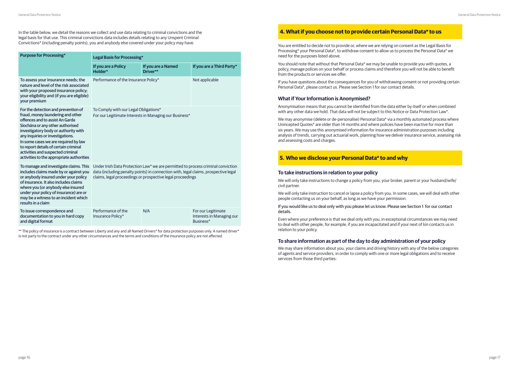- 
- 
- 
- 
- 

- 
- 
- 
- 
- 

In the table below, we detail the reasons we collect and use data relating to criminal convictions and the legal basis for that use. This criminal convictions data includes details relating to any Unspent Criminal Convictions\* (including penalty points), you and anybody else covered under your policy may have.

\*\* The policy of insurance is a contract between Liberty and any and all Named Drivers\* for data protection purposes only. A named driver\* is not party to the contract under any other circumstances and the terms and conditions of the insurance policy are not affected.

| <b>Purpose for Processing*</b>                                                                                                                                                                                                                                                                                                                                                                 | <b>Legal Basis for Processing*</b>                                                                                                                                                                                                    |                                |                                                              |
|------------------------------------------------------------------------------------------------------------------------------------------------------------------------------------------------------------------------------------------------------------------------------------------------------------------------------------------------------------------------------------------------|---------------------------------------------------------------------------------------------------------------------------------------------------------------------------------------------------------------------------------------|--------------------------------|--------------------------------------------------------------|
|                                                                                                                                                                                                                                                                                                                                                                                                | If you are a Policy<br>Holder*                                                                                                                                                                                                        | If you are a Named<br>Driver** | If you are a Third Party*                                    |
| To assess your insurance needs; the<br>nature and level of the risk associated<br>with your proposed insurance policy;<br>your eligibility and (if you are eligible)<br>your premium                                                                                                                                                                                                           | Performance of the Insurance Policy*                                                                                                                                                                                                  |                                | Not applicable                                               |
| For the detection and prevention of<br>fraud, money laundering and other<br>offences and to assist An Garda<br>Síochána or any other authorised<br>investigatory body or authority with<br>any inquiries or investigations.<br>In some cases we are required by law<br>to report details of certain criminal<br>activities and suspected criminal<br>activities to the appropriate authorities | To Comply with our Legal Obligations*<br>For our Legitimate Interests in Managing our Business*                                                                                                                                       |                                |                                                              |
| To manage and investigate claims. This<br>includes claims made by or against you<br>or anybody insured under your policy<br>of insurance. It also includes claims<br>where you (or anybody else insured<br>under your policy of insurance) are or<br>may be a witness to an incident which<br>results in a claim                                                                               | Under Irish Data Protection Law* we are permitted to process criminal conviction<br>data (including penalty points) in connection with, legal claims, prospective legal<br>claims, legal proceedings or prospective legal proceedings |                                |                                                              |
| To issue correspondence and<br>documentation to you in hard copy<br>and digital format                                                                                                                                                                                                                                                                                                         | Performance of the<br>Insurance Policy*                                                                                                                                                                                               | N/A                            | For our Legitimate<br>Interests in Managing our<br>Business* |

# **4. What if you choose not to provide certain Personal Data\* to us**

You are entitled to decide not to provide or, where we are relying on consent as the Legal Basis for Processing\* your Personal Data\*, to withdraw consent to allow us to process the Personal Data\* we need for the purposes listed above.

You should note that without that Personal Data\* we may be unable to provide you with quotes, a policy, manage polices on your behalf or process claims and therefore you will not be able to benefit from the products or services we offer.

If you have questions about the consequences for you of withdrawing consent or not providing certain Personal Data\*, please contact us. Please see Section 1 for our contact details.

# **What if Your Information is Anonymised?**

Anonymisation means that you cannot be identified from the data either by itself or when combined with any other data we hold. That data will not be subject to this Notice or Data Protection Law\*.

We may anonymise (delete or de-personalise) Personal Data\* via a monthly automated process where Unincepted Quotes\* are older than 14 months and where policies have been inactive for more than six years. We may use this anonymised information for insurance administration purposes including analysis of trends, carrying out actuarial work, planning how we deliver insurance service, assessing risk and assessing costs and charges.

# **5. Who we disclose your Personal Data\* to and why**

### **To take instructions in relation to your policy**

We will only take instructions to change a policy from you, your broker, parent or your husband/wife/ civil partner.

We will only take instruction to cancel or lapse a policy from you. In some cases, we will deal with other people contacting us on your behalf, as long as we have your permission.

If you would like us to deal only with you please let us know. Please see Section 1 for our contact details.

Even where your preference is that we deal only with you, in exceptional circumstances we may need to deal with other people, for example, if you are incapacitated and if your next of kin contacts us in relation to your policy.

# **To share information as part of the day to day administration of your policy**

We may share information about you, your claims and driving history with any of the below categories of agents and service providers, in order to comply with one or more legal obligations and to receive services from those third parties: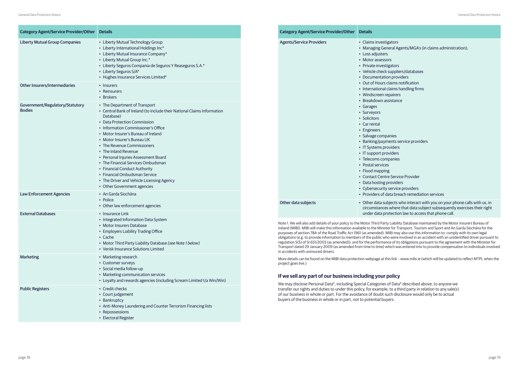| <b>Category Agent/Service Provider/Other</b>     | <b>Details</b>                                                                                                                                                                                                                                                                                                                                                                                                                                                                                                                                        |
|--------------------------------------------------|-------------------------------------------------------------------------------------------------------------------------------------------------------------------------------------------------------------------------------------------------------------------------------------------------------------------------------------------------------------------------------------------------------------------------------------------------------------------------------------------------------------------------------------------------------|
| <b>Liberty Mutual Group Companies</b>            | • Liberty Mutual Technology Group<br>• Liberty International Holdings Inc*<br>• Liberty Mutual Insurance Company*<br>• Liberty Mutual Group Inc.*<br>• Liberty Seguros Compania de Seguros Y Reaseguros S.A.*<br>• Liberty Seguros S/A*<br>• Hughes Insurance Services Limited*                                                                                                                                                                                                                                                                       |
| <b>Other Insurers/Intermediaries</b>             | • Insurers<br>• Reinsurers<br>• Brokers                                                                                                                                                                                                                                                                                                                                                                                                                                                                                                               |
| Government/Regulatory/Statutory<br><b>Bodies</b> | • The Department of Transport<br>• Central Bank of Ireland (to include their National Claims Information<br>Database)<br>• Data Protection Commission<br>• Information Commissioner's Office<br>• Motor Insurer's Bureau of Ireland<br>• Motor Insurer's Bureau UK<br>• The Revenue Commissioners<br>• The Inland Revenue<br>• Personal Injuries Assessment Board<br>• The Financial Services Ombudsman<br>• Financial Conduct Authority<br>• Financial Ombudsman Service<br>• The Driver and Vehicle Licensing Agency<br>• Other Government agencies |
| <b>Law Enforcement Agencies</b>                  | • An Garda Síochána<br>• Police<br>• Other law enforcement agencies                                                                                                                                                                                                                                                                                                                                                                                                                                                                                   |
| <b>External Databases</b>                        | • Insurance Link<br>• Integrated Information Data System<br>• Motor Insurers Database<br>• Employers Liability Trading Office<br>• Cache<br>• Motor Third Party Liability Database (see Note 1 below)<br>• Verisk Insurance Solutions Limited                                                                                                                                                                                                                                                                                                         |
| <b>Marketing</b>                                 | • Marketing research<br>• Customer surveys<br>· Social media follow-up<br>• Marketing communication services<br>• Loyalty and rewards agencies (including Scream Limited t/a Win/Win)                                                                                                                                                                                                                                                                                                                                                                 |
| <b>Public Registers</b>                          | • Credit checks<br>• Court judgement<br>• Bankruptcy<br>• Anti-Money Laundering and Counter Terrorism Financing lists<br>• Repossessions<br>• Electoral Register                                                                                                                                                                                                                                                                                                                                                                                      |

lity Database maintained by the Motor Insurers Bureau of Ireland (MIBI). MIBI will make this information available to the Minister for Transport, Tourism and Sport and An Garda Síochána for the purposes of section 78A of the Road Traffic Act 1961 (as amended). MIBI may also use this information to: comply with its own legal obligations (e.g. to provide information to members of the public who were involved in an accident with an unidentified driver pursuant to regulation 5(5) of SI 651/2003 (as amended)); and for the performance of its obligations pursuant to the agreement with the Minister for Transport dated 29 January 2009 (as amended from time to time) which was entered into to provide compensation to individuals involved in accidents with uninsured drivers.

More details can be found on the MIBI data protection webpage at this link – www.mibi.ie (which will be updated to reflect MTPL when the project goes live.)

# **If we sell any part of our business including your policy**

We may disclose Personal Data\*, including Special Categories of Data\* described above, to anyone we transfer our rights and duties to under this policy, for example, to a third party in relation to any sale(s) of our business in whole or part. For the avoidance of doubt such disclosure would only be to actual buyers of the business in whole or in part, not to potential buyers.

| <b>Category Agent/Service Provider/Other</b> | <b>Details</b>                                                                                                                                                                                                                                                                                                                                                                                                                                                                                                                                                                                                                                         |
|----------------------------------------------|--------------------------------------------------------------------------------------------------------------------------------------------------------------------------------------------------------------------------------------------------------------------------------------------------------------------------------------------------------------------------------------------------------------------------------------------------------------------------------------------------------------------------------------------------------------------------------------------------------------------------------------------------------|
| <b>Agents/Service Providers</b>              | • Claims investigators<br>• Managing General Age<br>• Loss adjusters<br>• Motor assessors<br>• Private investigators<br>• Vehicle check supplier<br>• Documentation provid<br>• Out of Hours claims no<br>• International claims ha<br>• Windscreen repairers<br>· Breakdown assistance<br>• Garages<br>• Surveyors<br>• Solicitors<br>• Car rental<br>• Engineers<br>· Salvage companies<br>• Banking/payments ser<br>• IT Systems providers<br>• IT support providers<br>• Telecoms companies<br>• Postal services<br>• Flood mapping<br>• Contact Centre Service<br>• Data hosting providers<br>• Cybersecurity service<br>• Providers of data brea |
| Other data subjects                          | • Other data subjects w<br>circumstances where t<br>under data protection                                                                                                                                                                                                                                                                                                                                                                                                                                                                                                                                                                              |

Agents/MGA's (in claims administration);

- iers/databases
- viders
- notification
- handling firms
- 
- 

- service providers
- 
- 
- 

rice Provider ers

- e providers
- each remediation services

who interact with you on your phone calls with us, in re that data subject subsequently exercises their right on law to access that phone call.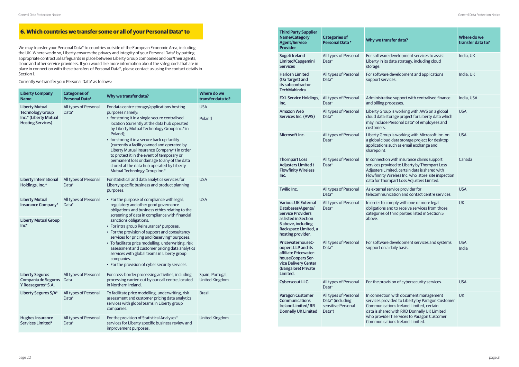| <b>Liberty Company</b><br><b>Name</b>                                                                 | <b>Categories of</b><br><b>Personal Data*</b> | Why we transfer data?                                                                                                                                                                                                                                                                                                                                                                                                                                                                                                                                                                      | Where do we<br>transfer data to?          |
|-------------------------------------------------------------------------------------------------------|-----------------------------------------------|--------------------------------------------------------------------------------------------------------------------------------------------------------------------------------------------------------------------------------------------------------------------------------------------------------------------------------------------------------------------------------------------------------------------------------------------------------------------------------------------------------------------------------------------------------------------------------------------|-------------------------------------------|
| <b>Liberty Mutual</b><br><b>Technology Group</b><br>Inc.* (Liberty Mutual<br><b>Hosting Services)</b> | All types of Personal<br>Data*                | For data centre storage/applications hosting<br>purposes namely:<br>• for storing it in a single secure centralised<br>location (currently at the data hub operated<br>by Liberty Mutual Technology Group Inc.* in<br>Poland);<br>• for storing it in a secure back up facility<br>(currently a facility owned and operated by<br>Liberty Mutual Insurance Company*) in order<br>to protect it in the event of temporary or<br>permanent loss or damage to any of the data<br>stored at the data hub operated by Liberty<br>Mutual Technology Group Inc.*                                  | <b>USA</b><br>Poland                      |
| <b>Liberty International</b><br>Holdings, Inc.*                                                       | All types of Personal<br>Data*                | For statistical and data analytics services for<br>Liberty specific business and product planning<br>purposes.                                                                                                                                                                                                                                                                                                                                                                                                                                                                             | <b>USA</b>                                |
| <b>Liberty Mutual</b><br><b>Insurance Company*</b><br><b>Liberty Mutual Group</b><br>$Inc*$           | All types of Personal<br>Data*                | • For the purpose of compliance with legal,<br>regulatory and other good governance<br>obligations and business ethics relating to the<br>screening of data in compliance with financial<br>sanctions obligations.<br>• For intra group Reinsurance* purposes.<br>• For the provision of support and consultancy<br>services for pricing and Reserving* purposes.<br>• To facilitate price modelling, underwriting, risk<br>assessment and customer pricing data analytics<br>services with global teams in Liberty group<br>companies.<br>• For the provision of cyber security services. | <b>USA</b>                                |
| <b>Liberty Seguros</b><br>Compania de Seguros<br>Y Reaseguros* S.A.                                   | All types of Personal<br>Data                 | For cross-border processing activities, including<br>processing carried out by our call centre, located<br>in Northern Ireland.                                                                                                                                                                                                                                                                                                                                                                                                                                                            | Spain, Portugal,<br><b>United Kingdom</b> |
| Liberty Seguros S/A*                                                                                  | All types of Personal<br>Data*                | To facilitate price modelling, underwriting, risk<br>assessment and customer pricing data analytics<br>services with global teams in Liberty group<br>companies.                                                                                                                                                                                                                                                                                                                                                                                                                           | <b>Brazil</b>                             |
| <b>Hughes Insurance</b><br>Services Limited*                                                          | All types of Personal<br>Data*                | For the provision of Statistical Analyses*<br>services for Liberty specific business review and<br>improvement purposes.                                                                                                                                                                                                                                                                                                                                                                                                                                                                   | <b>United Kingdom</b>                     |

We may transfer your Personal Data\* to countries outside of the European Economic Area, including the UK. Where we do so, Liberty ensures the privacy and integrity of your Personal Data\* by putting appropriate contractual safeguards in place between Liberty Group companies and our/their agents, cloud and other service providers. If you would like more information about the safeguards that are in place in connection with these transfers of Personal Data\*, please contact us using the contact details in Section 1.

Currently we transfer your Personal Data\* as follows:

| <b>Third Party Supplier</b><br><b>Name/Category</b><br><b>Agent/Service</b><br><b>Provider</b>                                                                         | <b>Categories of</b><br><b>Personal Data*</b>                             | Why we transfer data?                                                                                                                                                                                                                                                  | Where do we<br>transfer data to? |
|------------------------------------------------------------------------------------------------------------------------------------------------------------------------|---------------------------------------------------------------------------|------------------------------------------------------------------------------------------------------------------------------------------------------------------------------------------------------------------------------------------------------------------------|----------------------------------|
| Sogeti Ireland<br>Limited/Capgemini<br><b>Services</b>                                                                                                                 | All types of Personal<br>Data*                                            | For software development services to assist<br>Liberty in its data strategy, including cloud<br>storage.                                                                                                                                                               | India, UK                        |
| <b>Harlosh Limited</b><br>(t/a Target) and<br>its subcontractor<br><b>TechMahindra</b>                                                                                 | All types of Personal<br>Data*                                            | For software development and applications<br>support services.                                                                                                                                                                                                         | India, UK                        |
| <b>EXL Service Holdings,</b><br>Inc.                                                                                                                                   | All types of Personal<br>Data*                                            | Administrative support with centralised finance<br>and billing processes.                                                                                                                                                                                              | India, USA                       |
| <b>Amazon Web</b><br>Services Inc. (AWS)                                                                                                                               | All types of Personal<br>Data*                                            | Liberty Group is working with AWS on a global<br>cloud data storage project for Liberty data which<br>may include Personal Data* of employees and<br>customers.                                                                                                        | <b>USA</b>                       |
| Microsoft Inc.                                                                                                                                                         | All types of Personal<br>Data*                                            | Liberty Group is working with Microsoft Inc. on<br>a global cloud data storage project for desktop<br>applications such as email exchange and<br>sharepoint.                                                                                                           | <b>USA</b>                       |
| <b>Thornpart Loss</b><br><b>Adjusters Limited /</b><br><b>Flowfinity Wireless</b><br>Inc.                                                                              | All types of Personal<br>Data*                                            | In connection with insurance claims support<br>services provided to Liberty by Thornpart Loss<br>Adjusters Limited, certain data is shared with<br>Flowfinnity Wireless Inc. who store site inspection<br>data for Thornpart Loss Adjusters Limited.                   | Canada                           |
| Twilio Inc.                                                                                                                                                            | All types of Personal<br>Data*                                            | As external service provider for<br>telecommunication and contact centre services.                                                                                                                                                                                     | <b>USA</b>                       |
| <b>Various UK External</b><br>Databases/Agents/<br><b>Service Providers</b><br>as listed in Section<br>5 above, including<br>Rackspace Limited, a<br>hosting provider. | All types of Personal<br>Data*                                            | In order to comply with one or more legal<br>obligations and to receive services from those<br>categories of third parties listed in Section 5<br>above.                                                                                                               | <b>UK</b>                        |
| PricewaterhouseC-<br>oopers LLP and its<br>affiliate Pricewater-<br>houseCoopers Ser-<br>vice Delivery Center<br>(Bangalore) Private<br>Limited.                       | All types of Personal<br>Data*                                            | For software development services and systems<br>support on a daily basis.                                                                                                                                                                                             | <b>USA</b><br>India              |
| <b>Cyberscout LLC.</b>                                                                                                                                                 | All types of Personal<br>Data*                                            | For the provision of cybersecurity services.                                                                                                                                                                                                                           | <b>USA</b>                       |
| <b>Paragon Customer</b><br><b>Communications</b><br><b>Ireland Limited/RR</b><br><b>Donnelly UK Limited</b>                                                            | All types of Personal<br>Data* (including<br>sensitive Personal<br>Data*) | In connection with document management<br>services provided to Liberty by Paragon Customer<br>Communications Ireland Limited, certain<br>data is shared with RRD Donnelly UK Limited<br>who provide IT services to Paragon Customer<br>Communications Ireland Limited. | <b>UK</b>                        |
|                                                                                                                                                                        |                                                                           |                                                                                                                                                                                                                                                                        |                                  |

# **6. Which countries we transfer some or all of your Personal Data\* to**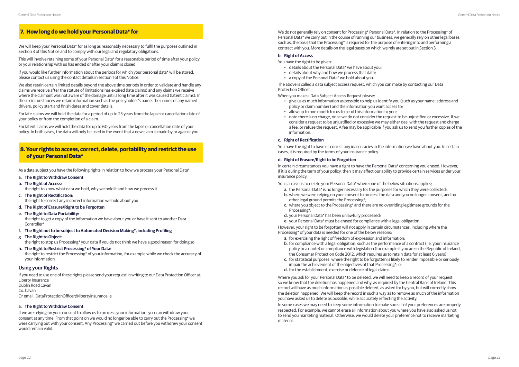- **a. The Right to Withdraw Consent**
- **b. The Right of Access:** the right to know what data we hold, why we hold it and how we process it **c. The Right of Rectification:**

the right to correct any incorrect information we hold about you

- **d. The Right of Erasure/Right to be Forgotten**
- **e. The Right to Data Portability:**

the right to get a copy of the information we have about you or have it sent to another Data Controller\*

- **f. The Right not to be subject to Automated Decision Making\*, including Profiling**
- **g. The Right to Object:**  the right to stop us Processing\* your data if you do not think we have a good reason for doing so
- **h. The Right to Restrict Processing\* of Your Data:** the right to restrict the Processing\* of your information, for example while we check the accuracy of your information

#### **Using your Rights**

If you would like further information about the periods for which your personal data\* will be stored, please contact us using the contact details in section 1 of this Notice.

If you need to use one of these rights please send your request in writing to our Data Protection Officer at: Liberty Insurance Dublin Road Cavan Co. Cavan Or email: DataProtectionOfficer@libertyinsurance.ie

#### **a. The Right to Withdraw Consent**

If we are relying on your consent to allow us to process your information, you can withdraw your consent at any time. From that point on we would no longer be able to carry out the Processing\* we were carrying out with your consent. Any Processing\* we carried out before you withdrew your consent would remain valid.

We will keep your Personal Data\* for as long as reasonably necessary to fulfil the purposes outlined in Section 3 of this Notice and to comply with our legal and regulatory obligations.

This will involve retaining some of your Personal Data\* for a reasonable period of time after your policy or your relationship with us has ended or after your claim is closed.

We also retain certain limited details beyond the above time periods in order to validate and handle any claims we receive after the statute of limitations has expired (late claims) and any claims we receive where the claimant was not aware of the damage until a long time after it was caused (latent claims). In these circumstances we retain information such as the policyholder's name, the names of any named drivers, policy start and finish dates and cover details.

For late claims we will hold the data for a period of up to 25 years from the lapse or cancellation date of your policy or from the completion of a claim.

For latent claims we will hold the data for up to 60 years from the lapse or cancellation date of your policy. In both cases, the data will only be used in the event that a new claim is made by or against you.

# **7. How long do we hold your Personal Data\* for**

## **8. Your rights to access, correct, delete, portability and restrict the use of your Personal Data\***

As a data subject you have the following rights in relation to how we process your Personal Data\*:

We do not generally rely on consent for Processing\* Personal Data\*. In relation to the Processing\* of Personal Data\* we carry out in the course of running our business, we generally rely on other legal bases, such as, the basis that the Processing\* is required for the purpose of entering into and performing a contract with you. More details on the legal bases on which we rely are set out in Section 3.

Where you ask for your Personal Data\* to be deleted, we will need to keep a record of your request so we know that the deletion has happened and why, as required by the Central Bank of Ireland. This record will have as much information as possible deleted, as asked for by you, but will correctly show the deletion happened. We will keep the record in such a way as to remove as much of the information you have asked us to delete as possible, while accurately reflecting the activity.

#### **b. Right of Access**

You have the right to be given:

- details about the Personal Data\* we have about you;
- details about why and how we process that data;
- a copy of the Personal Data\* we hold about you.

The above is called a data subject access request, which you can make by contacting our Data Protection Officer.

When you make a Data Subject Access Request please:

- give us as much information as possible to help us identify you (such as your name, address and policy or claim number) and the information you want access to;
- allow up to one month for us to send this information to you;
- note there is no charge, once we do not consider the request to be unjustified or excessive. If we consider a request to be unjustified or excessive we may either deal with the request and charge a fee, or refuse the request. A fee may be applicable if you ask us to send you further copies of the information.

#### **c. Right of Rectification**

You have the right to have us correct any inaccuracies in the information we have about you. In certain cases, it is required by the terms of your insurance policy.

#### **d. Right of Erasure/Right to be Forgotten**

In certain circumstances you have a right to have the Personal Data\* concerning you erased. However, if it is during the term of your policy, then it may affect our ability to provide certain services under your insurance policy.

You can ask us to delete your Personal Data\* where one of the below situations applies;

- **a.** the Personal Data\* is no longer necessary for the purposes for which they were collected; **b.** where we were relying on your consent to process the data and you no longer consent, and no
- other legal ground permits the Processing\*; **c.** where you object to the Processing\* and there are no overriding legitimate grounds for the
- Processing\*;
- **d.** your Personal Data\* has been unlawfully processed;

**e.** your Personal Data\* must be erased for compliance with a legal obligation.

However, your right to be forgotten will not apply in certain circumstances, including where the Processing\* of your data is needed for one of the below reasons;

- **a.** for exercising the right of freedom of expression and information;
- **b.** for compliance with a legal obligation, such as the performance of a contract (i.e. your insurance policy or a quote) or compliance with legislation (for example if you are in the Republic of Ireland, the Consumer Protection Code 2012, which requires us to retain data for at least 6 years);
- **c.** for statistical purposes, where the right to be forgotten is likely to render impossible or seriously impair the achievement of the objectives of that Processing\*; or
- **d.** for the establishment, exercise or defence of legal claims.

In some cases we may need to keep some information to make sure all of your preferences are properly respected. For example, we cannot erase all information about you where you have also asked us not to send you marketing material. Otherwise, we would delete your preference not to receive marketing material.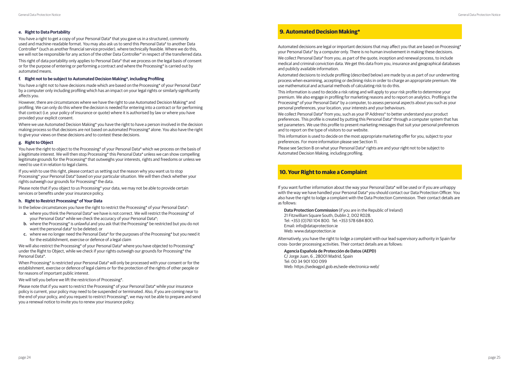#### **e. Right to Data Portability**

You have a right to get a copy of your Personal Data\* that you gave us in a structured, commonly used and machine-readable format. You may also ask us to send this Personal Data\* to another Data Controller\* (such as another financial service provider), where technically feasible. Where we do this, we will not be responsible for any action of the other Data Controller\* in respect of the transferred data.

You have a right not to have decisions made which are based on the Processing\* of your Personal Data\* by a computer only including profiling which has an impact on your legal rights or similarly significantly affects you.

This right of data portability only applies to Personal Data\* that we process on the legal basis of consent or for the purpose of entering or performing a contract and where the Processing\* is carried out by automated means.

#### **f. Right not to be subject to Automated Decision Making\*, including Profiling**

However, there are circumstances where we have the right to use Automated Decision Making\* and profiling. We can only do this where the decision is needed for entering into a contract or for performing that contract (i.e. your policy of insurance or quote) where it is authorised by law or where you have provided your explicit consent.

Where we use Automated Decision Making\* you have the right to have a person involved in the decision making process so that decisions are not based on automated Processing\* alone. You also have the right to give your views on these decisions and to contest these decisions.

We will also restrict the Processing\* of your Personal Data\* where you have objected to Processing\* under the Right to Object, while we check if your rights outweigh our grounds for Processing\* the Personal Data\*.

#### **g. Right to Object**

You have the right to object to the Processing\* of your Personal Data\* which we process on the basis of a legitimate interest. We will then stop Processing\* this Personal Data\* unless we can show compelling legitimate grounds for the Processing\* that outweighs your interests, rights and freedoms or unless we need to use it in relation to legal claims.

If you wish to use this right, please contact us setting out the reason why you want us to stop Processing\* your Personal Data\* based on your particular situation. We will then check whether your rights outweigh our grounds for Processing\* the data.

Please note that if you object to us Processing\* your data, we may not be able to provide certain services or benefits under your insurance policy.

#### **h. Right to Restrict Processing\* of Your Data**

In the below circumstances you have the right to restrict the Processing\* of your Personal Data\*:

- **a.** where you think the Personal Data\* we have is not correct. We will restrict the Processing\* of your Personal Data\* while we check the accuracy of your Personal Data\*;
- **b.** where the Processing\* is unlawful and you ask that the Processing\* be restricted but you do not want the personal data\* to be deleted; or
- **c.** where we no longer need the Personal Data\* for the purposes of the Processing\* but you need it for the establishment, exercise or defence of a legal claim

When Processing\* is restricted your Personal Data\* will only be processed with your consent or for the establishment, exercise or defence of legal claims or for the protection of the rights of other people or for reasons of important public interest.

We will tell you before we lift the restriction of Processing\*.

Please note that if you want to restrict the Processing\* of your Personal Data\* while your insurance policy is current, your policy may need to be suspended or terminated. Also, if you are coming near to the end of your policy, and you request to restrict Processing\*, we may not be able to prepare and send you a renewal notice to invite you to renew your insurance policy.

#### **9. Automated Decision Making\***

Automated decisions are legal or important decisions that may affect you that are based on Processing\* your Personal Data\* by a computer only. There is no human involvement in making these decisions. We collect Personal Data\* from you, as part of the quote, inception and renewal process, to include medical and criminal conviction data. We get this data from you, insurance and geographical databases and publicly available information.

Automated decisions to include profiling (described below) are made by us as part of our underwriting process when examining, accepting or declining risks in order to charge an appropriate premium. We use mathematical and actuarial methods of calculating risk to do this.

This information is used to decide a risk rating and will apply to your risk profile to determine your premium. We also engage in profiling for marketing reasons and to report on analytics. Profiling is the Processing\* of your Personal Data\* by a computer, to assess personal aspects about you such as your personal preferences, your location, your interests and your behaviours.

We collect Personal Data\* from you, such as your IP Address\* to better understand your product preferences. This profile is created by putting this Personal Data\* through a computer system that has set parameters. We use this profile to present marketing messages that suit your personal preferences and to report on the type of visitors to our website.

This information is used to decide on the most appropriate marketing offer for you, subject to your preferences. For more information please see Section 11.

Please see Section 8 on what your Personal Data\* rights are and your right not to be subject to Automated Decision Making, including profiling.

## **10. Your Right to make a Complaint**

If you want further information about the way your Personal Data\* will be used or if you are unhappy with the way we have handled your Personal Data\* you should contact our Data Protection Officer. You also have the right to lodge a complaint with the Data Protection Commission. Their contact details are as follows:

**Data Protection Commission** (if you are in the Republic of Ireland) 21 Fitzwilliam Square South, Dublin 2, D02 RD28. Tel: +353 (0)761 104 800. Tel: +353 578 684 800. Email: info@dataprotection.ie Web: www.dataprotection.ie

Alternatively, you have the right to lodge a complaint with our lead supervisory authority in Spain for cross- border processing activities. Their contact details are as follows:

#### **Agencia Española de Protección de Datos (AEPD)**

C/ Jorge Juan, 6 , 28001 Madrid, Spain Tel: 00 34 901 100 099 Web: https://sedeagpd.gob.es/sede-electronica-web/

- 
- 
- 
- 
- 
- 
-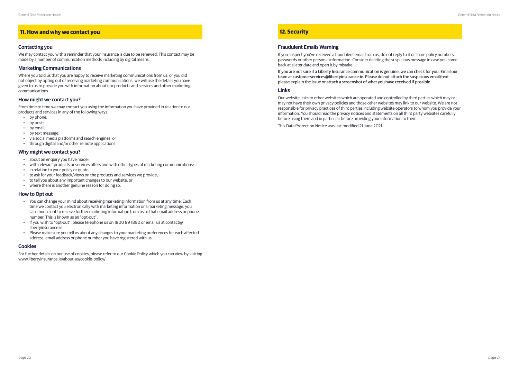# **11. How and why we contact you**

#### **Contacting you**

We may contact you with a reminder that your insurance is due to be renewed. This contact may be made by a number of communication methods including by digital means.

#### **Marketing Communications**

Where you told us that you are happy to receive marketing communications from us, or you did not object by opting out of receiving marketing communications, we will use the details you have given to us to provide you with information about our products and services and other marketing communications.

#### **How might we contact you?**

From time to time we may contact you using the information you have provided in relation to our products and services in any of the following ways:

- by phone;
- by post;
- by email;
- by text message;
- via social media platforms and search engines; or
- through digital and/or other remote applications

#### **Why might we contact you?**

- about an enquiry you have made;
- with relevant products or services offers and with other types of marketing communications;
- in relation to your policy or quote:
- to ask for your feedback/views on the products and services we provide;
- to tell you about any important changes to our website; or
- where there is another genuine reason for doing so.

#### **How to Opt out**

- You can change your mind about receiving marketing information from us at any time. Each time we contact you electronically with marketing information or a marketing message, you can choose not to receive further marketing information from us to that email address or phone number. This is known as an "opt-out".
- If you wish to "opt-out", please telephone us on 1800 89 1890 or email us at contact@ libertyinsurance.ie.
- Please make sure you tell us about any changes to your marketing preferences for each affected address, email address or phone number you have registered with us.

#### **Cookies**

For further details on our use of cookies, please refer to our Cookie Policy which you can view by visiting www.libertyinsurance.ie/about-us/cookie-policy/.

# **12. Security**

### **Fraudulent Emails Warning**

If you suspect you've received a fraudulent email from us, do not reply to it or share policy numbers, passwords or other personal information. Consider deleting the suspicious message in case you come back at a later date and open it by mistake.

If you are not sure if a Liberty Insurance communication is genuine, we can check for you. Email our team at customerservices@libertyinsurance.ie. Please do not attach the suspicious email/text – please explain the issue or attach a screenshot of what you have received if possible.

#### **Links**

Our website links to other websites which are operated and controlled by third parties which may or may not have their own privacy policies and those other websites may link to our website. We are not responsible for privacy practices of third parties including website operators to whom you provide your information. You should read the privacy notices and statements on all third party websites carefully before using them and in particular before providing your information to them.

This Data Protection Notice was last modified 21 June 2021.